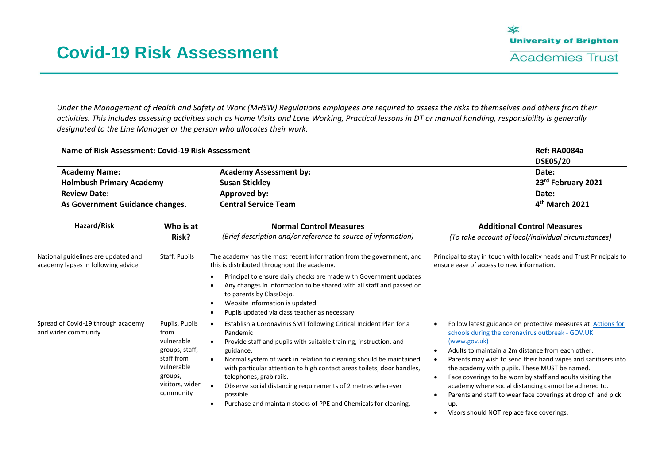*Under the Management of Health and Safety at Work (MHSW) Regulations employees are required to assess the risks to themselves and others from their activities. This includes assessing activities such as Home Visits and Lone Working, Practical lessons in DT or manual handling, responsibility is generally designated to the Line Manager or the person who allocates their work.*

| Name of Risk Assessment: Covid-19 Risk Assessment |                               | <b>Ref: RA0084a</b>            |
|---------------------------------------------------|-------------------------------|--------------------------------|
|                                                   |                               | <b>DSE05/20</b>                |
| <b>Academy Name:</b>                              | <b>Academy Assessment by:</b> | Date:                          |
| <b>Holmbush Primary Academy</b>                   | <b>Susan Stickley</b>         | 23 <sup>rd</sup> February 2021 |
| <b>Review Date:</b>                               | Approved by:                  | Date:                          |
| As Government Guidance changes.                   | <b>Central Service Team</b>   | 4 <sup>th</sup> March 2021     |

| Hazard/Risk                                                               | Who is at<br>Risk?                                                                                                            | <b>Normal Control Measures</b><br>(Brief description and/or reference to source of information)                                                                                                                                                                                                                                                                                                                                                                                                         | <b>Additional Control Measures</b><br>(To take account of local/individual circumstances)                                                                                                                                                                                                                                                                                                                                                                                                                                                                                    |
|---------------------------------------------------------------------------|-------------------------------------------------------------------------------------------------------------------------------|---------------------------------------------------------------------------------------------------------------------------------------------------------------------------------------------------------------------------------------------------------------------------------------------------------------------------------------------------------------------------------------------------------------------------------------------------------------------------------------------------------|------------------------------------------------------------------------------------------------------------------------------------------------------------------------------------------------------------------------------------------------------------------------------------------------------------------------------------------------------------------------------------------------------------------------------------------------------------------------------------------------------------------------------------------------------------------------------|
| National guidelines are updated and<br>academy lapses in following advice | Staff, Pupils                                                                                                                 | The academy has the most recent information from the government, and<br>this is distributed throughout the academy.<br>Principal to ensure daily checks are made with Government updates<br>Any changes in information to be shared with all staff and passed on<br>to parents by ClassDojo.<br>Website information is updated<br>Pupils updated via class teacher as necessary                                                                                                                         | Principal to stay in touch with locality heads and Trust Principals to<br>ensure ease of access to new information.                                                                                                                                                                                                                                                                                                                                                                                                                                                          |
| Spread of Covid-19 through academy<br>and wider community                 | Pupils, Pupils<br>from<br>vulnerable<br>groups, staff,<br>staff from<br>vulnerable<br>groups,<br>visitors, wider<br>community | Establish a Coronavirus SMT following Critical Incident Plan for a<br>Pandemic<br>Provide staff and pupils with suitable training, instruction, and<br>guidance.<br>Normal system of work in relation to cleaning should be maintained<br>with particular attention to high contact areas toilets, door handles,<br>telephones, grab rails.<br>Observe social distancing requirements of 2 metres wherever<br>possible.<br>Purchase and maintain stocks of PPE and Chemicals for cleaning.<br>$\bullet$ | Follow latest guidance on protective measures at Actions for<br>schools during the coronavirus outbreak - GOV.UK<br>(www.gov.uk)<br>Adults to maintain a 2m distance from each other.<br>$\bullet$<br>Parents may wish to send their hand wipes and sanitisers into<br>the academy with pupils. These MUST be named.<br>Face coverings to be worn by staff and adults visiting the<br>$\bullet$<br>academy where social distancing cannot be adhered to.<br>Parents and staff to wear face coverings at drop of and pick<br>up.<br>Visors should NOT replace face coverings. |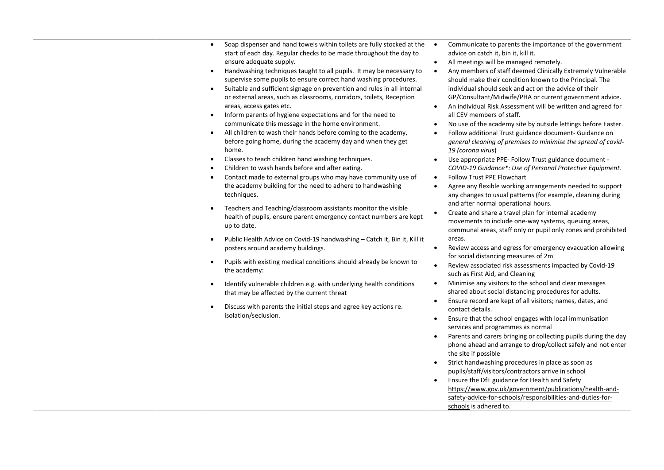| Soap dispenser and hand towels within toilets are fully stocked at the                | Communicate to parents the importance of the government<br>$\bullet$       |
|---------------------------------------------------------------------------------------|----------------------------------------------------------------------------|
| start of each day. Regular checks to be made throughout the day to                    | advice on catch it, bin it, kill it.                                       |
| ensure adequate supply.                                                               | All meetings will be managed remotely.<br>$\bullet$                        |
| Handwashing techniques taught to all pupils. It may be necessary to<br>$\bullet$      | $\bullet$<br>Any members of staff deemed Clinically Extremely Vulnerable   |
| supervise some pupils to ensure correct hand washing procedures.                      | should make their condition known to the Principal. The                    |
| Suitable and sufficient signage on prevention and rules in all internal<br>$\bullet$  | individual should seek and act on the advice of their                      |
| or external areas, such as classrooms, corridors, toilets, Reception                  | GP/Consultant/Midwife/PHA or current government advice.                    |
| areas, access gates etc.                                                              | An individual Risk Assessment will be written and agreed for<br>$\bullet$  |
| Inform parents of hygiene expectations and for the need to<br>$\bullet$               | all CEV members of staff.                                                  |
| communicate this message in the home environment.                                     | No use of the academy site by outside lettings before Easter.<br>$\bullet$ |
| All children to wash their hands before coming to the academy,<br>$\bullet$           | Follow additional Trust guidance document- Guidance on<br>$\bullet$        |
| before going home, during the academy day and when they get                           | general cleaning of premises to minimise the spread of covid-              |
| home.                                                                                 | 19 (corona virus)                                                          |
| Classes to teach children hand washing techniques.<br>$\bullet$                       | Use appropriate PPE- Follow Trust guidance document -<br>$\bullet$         |
| Children to wash hands before and after eating.<br>$\bullet$                          | COVID-19 Guidance*: Use of Personal Protective Equipment.                  |
| Contact made to external groups who may have community use of<br>$\bullet$            | <b>Follow Trust PPE Flowchart</b><br>$\bullet$                             |
| the academy building for the need to adhere to handwashing                            | Agree any flexible working arrangements needed to support<br>$\bullet$     |
| techniques.                                                                           | any changes to usual patterns (for example, cleaning during                |
| Teachers and Teaching/classroom assistants monitor the visible<br>$\bullet$           | and after normal operational hours.                                        |
| health of pupils, ensure parent emergency contact numbers are kept                    | Create and share a travel plan for internal academy<br>$\bullet$           |
| up to date.                                                                           | movements to include one-way systems, queuing areas,                       |
|                                                                                       | communal areas, staff only or pupil only zones and prohibited              |
| Public Health Advice on Covid-19 handwashing - Catch it, Bin it, Kill it<br>$\bullet$ | areas.                                                                     |
| posters around academy buildings.                                                     | Review access and egress for emergency evacuation allowing<br>$\bullet$    |
| Pupils with existing medical conditions should already be known to<br>$\bullet$       | for social distancing measures of 2m                                       |
| the academy:                                                                          | Review associated risk assessments impacted by Covid-19<br>$\bullet$       |
|                                                                                       | such as First Aid, and Cleaning                                            |
| Identify vulnerable children e.g. with underlying health conditions<br>$\bullet$      | Minimise any visitors to the school and clear messages<br>$\bullet$        |
| that may be affected by the current threat                                            | shared about social distancing procedures for adults.                      |
| Discuss with parents the initial steps and agree key actions re.<br>$\bullet$         | Ensure record are kept of all visitors; names, dates, and<br>$\bullet$     |
| isolation/seclusion.                                                                  | contact details.                                                           |
|                                                                                       | Ensure that the school engages with local immunisation                     |
|                                                                                       | services and programmes as normal                                          |
|                                                                                       | Parents and carers bringing or collecting pupils during the day            |
|                                                                                       | phone ahead and arrange to drop/collect safely and not enter               |
|                                                                                       | the site if possible                                                       |
|                                                                                       | Strict handwashing procedures in place as soon as<br>$\bullet$             |
|                                                                                       | pupils/staff/visitors/contractors arrive in school                         |
|                                                                                       | Ensure the DfE guidance for Health and Safety<br>$\bullet$                 |
|                                                                                       | https://www.gov.uk/government/publications/health-and-                     |
|                                                                                       | safety-advice-for-schools/responsibilities-and-duties-for-                 |
|                                                                                       | schools is adhered to.                                                     |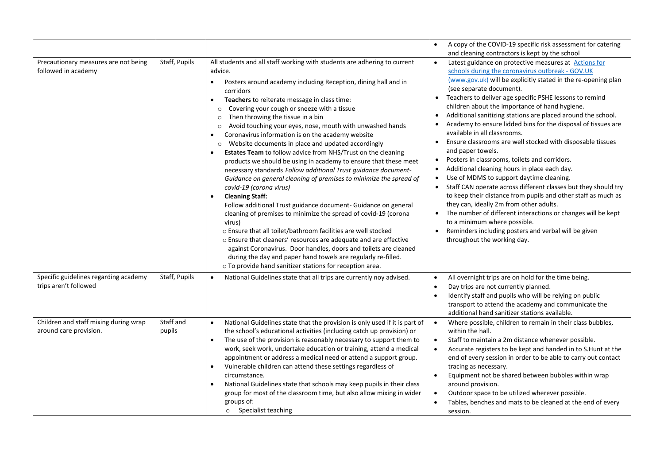|                                                                 |                     |                                                                                                                                                                                                                                                                                                                                                                                                                                                                                                                                                                                                                                                                                                                                                                                                                                                                                                                                                                                                                                                                                                                                                                                                                                                                                                                                                                                                                   | A copy of the COVID-19 specific risk assessment for catering<br>$\bullet$<br>and cleaning contractors is kept by the school                                                                                                                                                                                                                                                                                                                                                                                                                                                                                                                                                                                                                                                                                                                                                                                                                                                                                                                                                                                                                                                          |
|-----------------------------------------------------------------|---------------------|-------------------------------------------------------------------------------------------------------------------------------------------------------------------------------------------------------------------------------------------------------------------------------------------------------------------------------------------------------------------------------------------------------------------------------------------------------------------------------------------------------------------------------------------------------------------------------------------------------------------------------------------------------------------------------------------------------------------------------------------------------------------------------------------------------------------------------------------------------------------------------------------------------------------------------------------------------------------------------------------------------------------------------------------------------------------------------------------------------------------------------------------------------------------------------------------------------------------------------------------------------------------------------------------------------------------------------------------------------------------------------------------------------------------|--------------------------------------------------------------------------------------------------------------------------------------------------------------------------------------------------------------------------------------------------------------------------------------------------------------------------------------------------------------------------------------------------------------------------------------------------------------------------------------------------------------------------------------------------------------------------------------------------------------------------------------------------------------------------------------------------------------------------------------------------------------------------------------------------------------------------------------------------------------------------------------------------------------------------------------------------------------------------------------------------------------------------------------------------------------------------------------------------------------------------------------------------------------------------------------|
| Precautionary measures are not being<br>followed in academy     | Staff, Pupils       | All students and all staff working with students are adhering to current<br>advice.<br>Posters around academy including Reception, dining hall and in<br>$\bullet$<br>corridors<br>Teachers to reiterate message in class time:<br>$\bullet$<br>Covering your cough or sneeze with a tissue<br>$\circ$<br>Then throwing the tissue in a bin<br>$\circ$<br>Avoid touching your eyes, nose, mouth with unwashed hands<br>$\circ$<br>Coronavirus information is on the academy website<br>$\bullet$<br>Website documents in place and updated accordingly<br>$\circ$<br>Estates Team to follow advice from NHS/Trust on the cleaning<br>$\bullet$<br>products we should be using in academy to ensure that these meet<br>necessary standards Follow additional Trust guidance document-<br>Guidance on general cleaning of premises to minimize the spread of<br>covid-19 (corona virus)<br><b>Cleaning Staff:</b><br>$\bullet$<br>Follow additional Trust guidance document- Guidance on general<br>cleaning of premises to minimize the spread of covid-19 (corona<br>virus)<br>o Ensure that all toilet/bathroom facilities are well stocked<br>o Ensure that cleaners' resources are adequate and are effective<br>against Coronavirus. Door handles, doors and toilets are cleaned<br>during the day and paper hand towels are regularly re-filled.<br>o To provide hand sanitizer stations for reception area. | Latest guidance on protective measures at Actions for<br>$\bullet$<br>schools during the coronavirus outbreak - GOV.UK<br>(www.gov.uk) will be explicitly stated in the re-opening plan<br>(see separate document).<br>Teachers to deliver age specific PSHE lessons to remind<br>$\bullet$<br>children about the importance of hand hygiene.<br>Additional sanitizing stations are placed around the school.<br>$\bullet$<br>Academy to ensure lidded bins for the disposal of tissues are<br>available in all classrooms.<br>Ensure classrooms are well stocked with disposable tissues<br>$\bullet$<br>and paper towels.<br>Posters in classrooms, toilets and corridors.<br>$\bullet$<br>Additional cleaning hours in place each day.<br>$\bullet$<br>Use of MDMS to support daytime cleaning.<br>$\bullet$<br>Staff CAN operate across different classes but they should try<br>to keep their distance from pupils and other staff as much as<br>they can, ideally 2m from other adults.<br>The number of different interactions or changes will be kept<br>to a minimum where possible.<br>Reminders including posters and verbal will be given<br>throughout the working day. |
| Specific guidelines regarding academy<br>trips aren't followed  | Staff, Pupils       | National Guidelines state that all trips are currently noy advised.<br>$\bullet$                                                                                                                                                                                                                                                                                                                                                                                                                                                                                                                                                                                                                                                                                                                                                                                                                                                                                                                                                                                                                                                                                                                                                                                                                                                                                                                                  | All overnight trips are on hold for the time being.<br>$\bullet$<br>Day trips are not currently planned.<br>$\bullet$<br>Identify staff and pupils who will be relying on public<br>$\bullet$<br>transport to attend the academy and communicate the<br>additional hand sanitizer stations available.                                                                                                                                                                                                                                                                                                                                                                                                                                                                                                                                                                                                                                                                                                                                                                                                                                                                                |
| Children and staff mixing during wrap<br>around care provision. | Staff and<br>pupils | National Guidelines state that the provision is only used if it is part of<br>$\bullet$<br>the school's educational activities (including catch up provision) or<br>The use of the provision is reasonably necessary to support them to<br>$\bullet$<br>work, seek work, undertake education or training, attend a medical<br>appointment or address a medical need or attend a support group.<br>Vulnerable children can attend these settings regardless of<br>$\bullet$<br>circumstance.<br>National Guidelines state that schools may keep pupils in their class<br>$\bullet$<br>group for most of the classroom time, but also allow mixing in wider<br>groups of:<br>o Specialist teaching                                                                                                                                                                                                                                                                                                                                                                                                                                                                                                                                                                                                                                                                                                                  | Where possible, children to remain in their class bubbles,<br>$\bullet$<br>within the hall.<br>Staff to maintain a 2m distance whenever possible.<br>$\bullet$<br>Accurate registers to be kept and handed in to S.Hunt at the<br>$\bullet$<br>end of every session in order to be able to carry out contact<br>tracing as necessary.<br>Equipment not be shared between bubbles within wrap<br>$\bullet$<br>around provision.<br>Outdoor space to be utilized wherever possible.<br>Tables, benches and mats to be cleaned at the end of every<br>session.                                                                                                                                                                                                                                                                                                                                                                                                                                                                                                                                                                                                                          |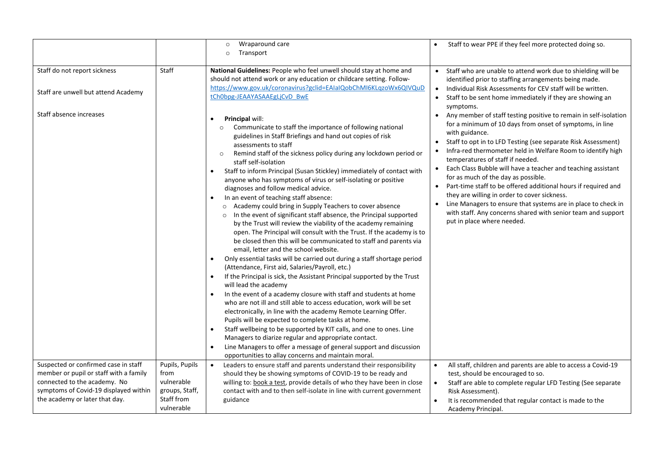|                                                                     |                          | Wraparound care<br>$\circ$                                                                                                                                                                                                                                                                                                                                                                                                                                                                                                                                                                                                                                                                                                                                                                                                                                                                                                                                                                                                                                                                                                                                                                                                                                                                                                                                                                                                                                                                                                                                                                                                                                                                                                                                                               | Staff to wear PPE if they feel more protected doing so.                                                                                                                                                                                                                                                                                                                                                                                                                                                                                                                                                                                                                                                                                                                     |
|---------------------------------------------------------------------|--------------------------|------------------------------------------------------------------------------------------------------------------------------------------------------------------------------------------------------------------------------------------------------------------------------------------------------------------------------------------------------------------------------------------------------------------------------------------------------------------------------------------------------------------------------------------------------------------------------------------------------------------------------------------------------------------------------------------------------------------------------------------------------------------------------------------------------------------------------------------------------------------------------------------------------------------------------------------------------------------------------------------------------------------------------------------------------------------------------------------------------------------------------------------------------------------------------------------------------------------------------------------------------------------------------------------------------------------------------------------------------------------------------------------------------------------------------------------------------------------------------------------------------------------------------------------------------------------------------------------------------------------------------------------------------------------------------------------------------------------------------------------------------------------------------------------|-----------------------------------------------------------------------------------------------------------------------------------------------------------------------------------------------------------------------------------------------------------------------------------------------------------------------------------------------------------------------------------------------------------------------------------------------------------------------------------------------------------------------------------------------------------------------------------------------------------------------------------------------------------------------------------------------------------------------------------------------------------------------------|
|                                                                     |                          | Transport<br>$\circ$                                                                                                                                                                                                                                                                                                                                                                                                                                                                                                                                                                                                                                                                                                                                                                                                                                                                                                                                                                                                                                                                                                                                                                                                                                                                                                                                                                                                                                                                                                                                                                                                                                                                                                                                                                     |                                                                                                                                                                                                                                                                                                                                                                                                                                                                                                                                                                                                                                                                                                                                                                             |
| Staff do not report sickness<br>Staff are unwell but attend Academy | Staff                    | National Guidelines: People who feel unwell should stay at home and<br>should not attend work or any education or childcare setting. Follow-<br>https://www.gov.uk/coronavirus?gclid=EAIaIQobChMI6KLqzoWx6QIVQuD<br>tChObpg-JEAAYASAAEgLjCvD BwE                                                                                                                                                                                                                                                                                                                                                                                                                                                                                                                                                                                                                                                                                                                                                                                                                                                                                                                                                                                                                                                                                                                                                                                                                                                                                                                                                                                                                                                                                                                                         | Staff who are unable to attend work due to shielding will be<br>$\bullet$<br>identified prior to staffing arrangements being made.<br>Individual Risk Assessments for CEV staff will be written.<br>$\bullet$<br>Staff to be sent home immediately if they are showing an<br>$\bullet$<br>symptoms.                                                                                                                                                                                                                                                                                                                                                                                                                                                                         |
| Staff absence increases                                             |                          | <b>Principal will:</b><br>$\bullet$<br>Communicate to staff the importance of following national<br>$\circ$<br>guidelines in Staff Briefings and hand out copies of risk<br>assessments to staff<br>Remind staff of the sickness policy during any lockdown period or<br>$\circ$<br>staff self-isolation<br>Staff to inform Principal (Susan Stickley) immediately of contact with<br>$\bullet$<br>anyone who has symptoms of virus or self-isolating or positive<br>diagnoses and follow medical advice.<br>In an event of teaching staff absence:<br>$\bullet$<br>o Academy could bring in Supply Teachers to cover absence<br>o In the event of significant staff absence, the Principal supported<br>by the Trust will review the viability of the academy remaining<br>open. The Principal will consult with the Trust. If the academy is to<br>be closed then this will be communicated to staff and parents via<br>email, letter and the school website.<br>Only essential tasks will be carried out during a staff shortage period<br>(Attendance, First aid, Salaries/Payroll, etc.)<br>If the Principal is sick, the Assistant Principal supported by the Trust<br>$\bullet$<br>will lead the academy<br>In the event of a academy closure with staff and students at home<br>$\bullet$<br>who are not ill and still able to access education, work will be set<br>electronically, in line with the academy Remote Learning Offer.<br>Pupils will be expected to complete tasks at home.<br>Staff wellbeing to be supported by KIT calls, and one to ones. Line<br>$\bullet$<br>Managers to diarize regular and appropriate contact.<br>Line Managers to offer a message of general support and discussion<br>$\bullet$<br>opportunities to allay concerns and maintain moral. | Any member of staff testing positive to remain in self-isolation<br>$\bullet$<br>for a minimum of 10 days from onset of symptoms, in line<br>with guidance.<br>Staff to opt in to LFD Testing (see separate Risk Assessment)<br>Infra-red thermometer held in Welfare Room to identify high<br>$\bullet$<br>temperatures of staff if needed.<br>Each Class Bubble will have a teacher and teaching assistant<br>$\bullet$<br>for as much of the day as possible.<br>Part-time staff to be offered additional hours if required and<br>$\bullet$<br>they are willing in order to cover sickness.<br>Line Managers to ensure that systems are in place to check in<br>$\bullet$<br>with staff. Any concerns shared with senior team and support<br>put in place where needed. |
| Suspected or confirmed case in staff                                | Pupils, Pupils           | Leaders to ensure staff and parents understand their responsibility<br>$\bullet$                                                                                                                                                                                                                                                                                                                                                                                                                                                                                                                                                                                                                                                                                                                                                                                                                                                                                                                                                                                                                                                                                                                                                                                                                                                                                                                                                                                                                                                                                                                                                                                                                                                                                                         | All staff, children and parents are able to access a Covid-19<br>$\bullet$                                                                                                                                                                                                                                                                                                                                                                                                                                                                                                                                                                                                                                                                                                  |
| member or pupil or staff with a family                              | from                     | should they be showing symptoms of COVID-19 to be ready and                                                                                                                                                                                                                                                                                                                                                                                                                                                                                                                                                                                                                                                                                                                                                                                                                                                                                                                                                                                                                                                                                                                                                                                                                                                                                                                                                                                                                                                                                                                                                                                                                                                                                                                              | test, should be encouraged to so.                                                                                                                                                                                                                                                                                                                                                                                                                                                                                                                                                                                                                                                                                                                                           |
| connected to the academy. No                                        | vulnerable               | willing to: book a test, provide details of who they have been in close                                                                                                                                                                                                                                                                                                                                                                                                                                                                                                                                                                                                                                                                                                                                                                                                                                                                                                                                                                                                                                                                                                                                                                                                                                                                                                                                                                                                                                                                                                                                                                                                                                                                                                                  | Staff are able to complete regular LFD Testing (See separate<br>$\bullet$                                                                                                                                                                                                                                                                                                                                                                                                                                                                                                                                                                                                                                                                                                   |
| symptoms of Covid-19 displayed within                               | groups, Staff,           | contact with and to then self-isolate in line with current government                                                                                                                                                                                                                                                                                                                                                                                                                                                                                                                                                                                                                                                                                                                                                                                                                                                                                                                                                                                                                                                                                                                                                                                                                                                                                                                                                                                                                                                                                                                                                                                                                                                                                                                    | Risk Assessment).                                                                                                                                                                                                                                                                                                                                                                                                                                                                                                                                                                                                                                                                                                                                                           |
| the academy or later that day.                                      | Staff from<br>vulnerable | guidance                                                                                                                                                                                                                                                                                                                                                                                                                                                                                                                                                                                                                                                                                                                                                                                                                                                                                                                                                                                                                                                                                                                                                                                                                                                                                                                                                                                                                                                                                                                                                                                                                                                                                                                                                                                 | It is recommended that regular contact is made to the<br>$\bullet$<br>Academy Principal.                                                                                                                                                                                                                                                                                                                                                                                                                                                                                                                                                                                                                                                                                    |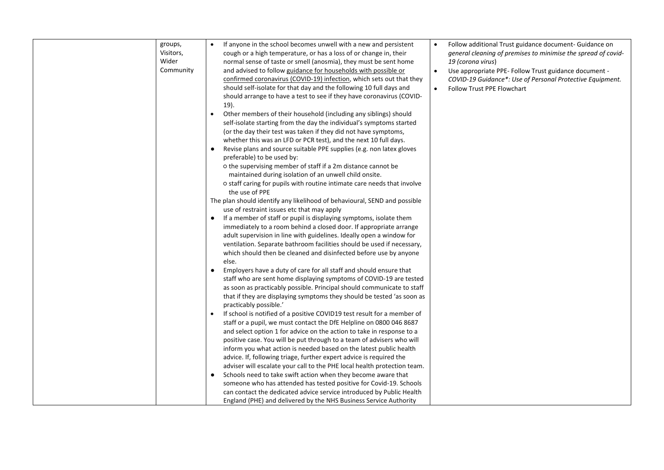| If anyone in the school becomes unwell with a new and persistent<br>Follow additional Trust guidance document- Guidance on<br>groups,<br>$\bullet$<br>Visitors,<br>cough or a high temperature, or has a loss of or change in, their<br>general cleaning of premises to minimise the spread of covid-<br>Wider<br>normal sense of taste or smell (anosmia), they must be sent home<br>19 (corona virus)<br>Community<br>and advised to follow guidance for households with possible or<br>Use appropriate PPE- Follow Trust guidance document -<br>$\bullet$<br>confirmed coronavirus (COVID-19) infection, which sets out that they<br>COVID-19 Guidance*: Use of Personal Protective Equipment.<br>should self-isolate for that day and the following 10 full days and<br><b>Follow Trust PPE Flowchart</b><br>$\bullet$<br>should arrange to have a test to see if they have coronavirus (COVID- |  |  |
|-----------------------------------------------------------------------------------------------------------------------------------------------------------------------------------------------------------------------------------------------------------------------------------------------------------------------------------------------------------------------------------------------------------------------------------------------------------------------------------------------------------------------------------------------------------------------------------------------------------------------------------------------------------------------------------------------------------------------------------------------------------------------------------------------------------------------------------------------------------------------------------------------------|--|--|
|                                                                                                                                                                                                                                                                                                                                                                                                                                                                                                                                                                                                                                                                                                                                                                                                                                                                                                     |  |  |
|                                                                                                                                                                                                                                                                                                                                                                                                                                                                                                                                                                                                                                                                                                                                                                                                                                                                                                     |  |  |
|                                                                                                                                                                                                                                                                                                                                                                                                                                                                                                                                                                                                                                                                                                                                                                                                                                                                                                     |  |  |
|                                                                                                                                                                                                                                                                                                                                                                                                                                                                                                                                                                                                                                                                                                                                                                                                                                                                                                     |  |  |
|                                                                                                                                                                                                                                                                                                                                                                                                                                                                                                                                                                                                                                                                                                                                                                                                                                                                                                     |  |  |
|                                                                                                                                                                                                                                                                                                                                                                                                                                                                                                                                                                                                                                                                                                                                                                                                                                                                                                     |  |  |
| 19).                                                                                                                                                                                                                                                                                                                                                                                                                                                                                                                                                                                                                                                                                                                                                                                                                                                                                                |  |  |
| Other members of their household (including any siblings) should<br>$\bullet$                                                                                                                                                                                                                                                                                                                                                                                                                                                                                                                                                                                                                                                                                                                                                                                                                       |  |  |
| self-isolate starting from the day the individual's symptoms started                                                                                                                                                                                                                                                                                                                                                                                                                                                                                                                                                                                                                                                                                                                                                                                                                                |  |  |
| (or the day their test was taken if they did not have symptoms,                                                                                                                                                                                                                                                                                                                                                                                                                                                                                                                                                                                                                                                                                                                                                                                                                                     |  |  |
| whether this was an LFD or PCR test), and the next 10 full days.                                                                                                                                                                                                                                                                                                                                                                                                                                                                                                                                                                                                                                                                                                                                                                                                                                    |  |  |
|                                                                                                                                                                                                                                                                                                                                                                                                                                                                                                                                                                                                                                                                                                                                                                                                                                                                                                     |  |  |
| Revise plans and source suitable PPE supplies (e.g. non latex gloves<br>preferable) to be used by:                                                                                                                                                                                                                                                                                                                                                                                                                                                                                                                                                                                                                                                                                                                                                                                                  |  |  |
| o the supervising member of staff if a 2m distance cannot be                                                                                                                                                                                                                                                                                                                                                                                                                                                                                                                                                                                                                                                                                                                                                                                                                                        |  |  |
|                                                                                                                                                                                                                                                                                                                                                                                                                                                                                                                                                                                                                                                                                                                                                                                                                                                                                                     |  |  |
| maintained during isolation of an unwell child onsite.                                                                                                                                                                                                                                                                                                                                                                                                                                                                                                                                                                                                                                                                                                                                                                                                                                              |  |  |
| o staff caring for pupils with routine intimate care needs that involve<br>the use of PPE                                                                                                                                                                                                                                                                                                                                                                                                                                                                                                                                                                                                                                                                                                                                                                                                           |  |  |
| The plan should identify any likelihood of behavioural, SEND and possible                                                                                                                                                                                                                                                                                                                                                                                                                                                                                                                                                                                                                                                                                                                                                                                                                           |  |  |
| use of restraint issues etc that may apply                                                                                                                                                                                                                                                                                                                                                                                                                                                                                                                                                                                                                                                                                                                                                                                                                                                          |  |  |
| If a member of staff or pupil is displaying symptoms, isolate them                                                                                                                                                                                                                                                                                                                                                                                                                                                                                                                                                                                                                                                                                                                                                                                                                                  |  |  |
| immediately to a room behind a closed door. If appropriate arrange                                                                                                                                                                                                                                                                                                                                                                                                                                                                                                                                                                                                                                                                                                                                                                                                                                  |  |  |
| adult supervision in line with guidelines. Ideally open a window for                                                                                                                                                                                                                                                                                                                                                                                                                                                                                                                                                                                                                                                                                                                                                                                                                                |  |  |
| ventilation. Separate bathroom facilities should be used if necessary,                                                                                                                                                                                                                                                                                                                                                                                                                                                                                                                                                                                                                                                                                                                                                                                                                              |  |  |
| which should then be cleaned and disinfected before use by anyone                                                                                                                                                                                                                                                                                                                                                                                                                                                                                                                                                                                                                                                                                                                                                                                                                                   |  |  |
| else.                                                                                                                                                                                                                                                                                                                                                                                                                                                                                                                                                                                                                                                                                                                                                                                                                                                                                               |  |  |
| Employers have a duty of care for all staff and should ensure that<br>$\bullet$                                                                                                                                                                                                                                                                                                                                                                                                                                                                                                                                                                                                                                                                                                                                                                                                                     |  |  |
| staff who are sent home displaying symptoms of COVID-19 are tested                                                                                                                                                                                                                                                                                                                                                                                                                                                                                                                                                                                                                                                                                                                                                                                                                                  |  |  |
| as soon as practicably possible. Principal should communicate to staff                                                                                                                                                                                                                                                                                                                                                                                                                                                                                                                                                                                                                                                                                                                                                                                                                              |  |  |
| that if they are displaying symptoms they should be tested 'as soon as                                                                                                                                                                                                                                                                                                                                                                                                                                                                                                                                                                                                                                                                                                                                                                                                                              |  |  |
| practicably possible.'                                                                                                                                                                                                                                                                                                                                                                                                                                                                                                                                                                                                                                                                                                                                                                                                                                                                              |  |  |
| If school is notified of a positive COVID19 test result for a member of                                                                                                                                                                                                                                                                                                                                                                                                                                                                                                                                                                                                                                                                                                                                                                                                                             |  |  |
| staff or a pupil, we must contact the DfE Helpline on 0800 046 8687                                                                                                                                                                                                                                                                                                                                                                                                                                                                                                                                                                                                                                                                                                                                                                                                                                 |  |  |
| and select option 1 for advice on the action to take in response to a                                                                                                                                                                                                                                                                                                                                                                                                                                                                                                                                                                                                                                                                                                                                                                                                                               |  |  |
| positive case. You will be put through to a team of advisers who will                                                                                                                                                                                                                                                                                                                                                                                                                                                                                                                                                                                                                                                                                                                                                                                                                               |  |  |
| inform you what action is needed based on the latest public health                                                                                                                                                                                                                                                                                                                                                                                                                                                                                                                                                                                                                                                                                                                                                                                                                                  |  |  |
| advice. If, following triage, further expert advice is required the                                                                                                                                                                                                                                                                                                                                                                                                                                                                                                                                                                                                                                                                                                                                                                                                                                 |  |  |
| adviser will escalate your call to the PHE local health protection team.                                                                                                                                                                                                                                                                                                                                                                                                                                                                                                                                                                                                                                                                                                                                                                                                                            |  |  |
| Schools need to take swift action when they become aware that<br>$\bullet$                                                                                                                                                                                                                                                                                                                                                                                                                                                                                                                                                                                                                                                                                                                                                                                                                          |  |  |
| someone who has attended has tested positive for Covid-19. Schools                                                                                                                                                                                                                                                                                                                                                                                                                                                                                                                                                                                                                                                                                                                                                                                                                                  |  |  |
| can contact the dedicated advice service introduced by Public Health                                                                                                                                                                                                                                                                                                                                                                                                                                                                                                                                                                                                                                                                                                                                                                                                                                |  |  |
| England (PHE) and delivered by the NHS Business Service Authority                                                                                                                                                                                                                                                                                                                                                                                                                                                                                                                                                                                                                                                                                                                                                                                                                                   |  |  |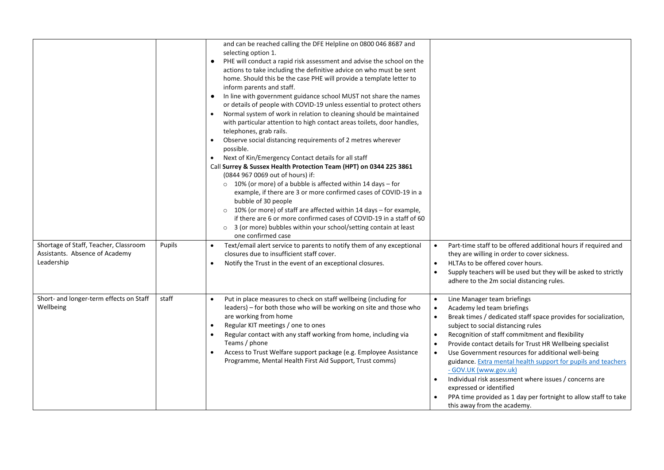|                                                                                       |        | and can be reached calling the DFE Helpline on 0800 046 8687 and<br>selecting option 1.<br>PHE will conduct a rapid risk assessment and advise the school on the<br>$\bullet$<br>actions to take including the definitive advice on who must be sent<br>home. Should this be the case PHE will provide a template letter to<br>inform parents and staff.<br>In line with government guidance school MUST not share the names<br>or details of people with COVID-19 unless essential to protect others<br>Normal system of work in relation to cleaning should be maintained<br>$\bullet$<br>with particular attention to high contact areas toilets, door handles,<br>telephones, grab rails.<br>Observe social distancing requirements of 2 metres wherever<br>possible.<br>Next of Kin/Emergency Contact details for all staff<br>$\bullet$<br>Call Surrey & Sussex Health Protection Team (HPT) on 0344 225 3861<br>(0844 967 0069 out of hours) if:<br>$\circ$ 10% (or more) of a bubble is affected within 14 days - for<br>example, if there are 3 or more confirmed cases of COVID-19 in a<br>bubble of 30 people<br>$\circ$ 10% (or more) of staff are affected within 14 days – for example,<br>if there are 6 or more confirmed cases of COVID-19 in a staff of 60<br>o 3 (or more) bubbles within your school/setting contain at least<br>one confirmed case |                                                                                                                                                                                                                                                                                                                                                                                                                                                                                                                                                                                                                                                                                                                      |
|---------------------------------------------------------------------------------------|--------|-------------------------------------------------------------------------------------------------------------------------------------------------------------------------------------------------------------------------------------------------------------------------------------------------------------------------------------------------------------------------------------------------------------------------------------------------------------------------------------------------------------------------------------------------------------------------------------------------------------------------------------------------------------------------------------------------------------------------------------------------------------------------------------------------------------------------------------------------------------------------------------------------------------------------------------------------------------------------------------------------------------------------------------------------------------------------------------------------------------------------------------------------------------------------------------------------------------------------------------------------------------------------------------------------------------------------------------------------------------------------|----------------------------------------------------------------------------------------------------------------------------------------------------------------------------------------------------------------------------------------------------------------------------------------------------------------------------------------------------------------------------------------------------------------------------------------------------------------------------------------------------------------------------------------------------------------------------------------------------------------------------------------------------------------------------------------------------------------------|
| Shortage of Staff, Teacher, Classroom<br>Assistants. Absence of Academy<br>Leadership | Pupils | Text/email alert service to parents to notify them of any exceptional<br>closures due to insufficient staff cover.<br>Notify the Trust in the event of an exceptional closures.<br>$\bullet$                                                                                                                                                                                                                                                                                                                                                                                                                                                                                                                                                                                                                                                                                                                                                                                                                                                                                                                                                                                                                                                                                                                                                                            | Part-time staff to be offered additional hours if required and<br>$\bullet$<br>they are willing in order to cover sickness.<br>HLTAs to be offered cover hours.<br>$\bullet$<br>Supply teachers will be used but they will be asked to strictly<br>$\bullet$<br>adhere to the 2m social distancing rules.                                                                                                                                                                                                                                                                                                                                                                                                            |
| Short- and longer-term effects on Staff<br>Wellbeing                                  | staff  | Put in place measures to check on staff wellbeing (including for<br>$\bullet$<br>leaders) – for both those who will be working on site and those who<br>are working from home<br>Regular KIT meetings / one to ones<br>Regular contact with any staff working from home, including via<br>$\bullet$<br>Teams / phone<br>Access to Trust Welfare support package (e.g. Employee Assistance<br>$\bullet$<br>Programme, Mental Health First Aid Support, Trust comms)                                                                                                                                                                                                                                                                                                                                                                                                                                                                                                                                                                                                                                                                                                                                                                                                                                                                                                      | Line Manager team briefings<br>$\bullet$<br>Academy led team briefings<br>$\bullet$<br>Break times / dedicated staff space provides for socialization,<br>$\bullet$<br>subject to social distancing rules<br>Recognition of staff commitment and flexibility<br>$\bullet$<br>Provide contact details for Trust HR Wellbeing specialist<br>$\bullet$<br>Use Government resources for additional well-being<br>$\bullet$<br>guidance. Extra mental health support for pupils and teachers<br>- GOV.UK (www.gov.uk)<br>Individual risk assessment where issues / concerns are<br>$\bullet$<br>expressed or identified<br>PPA time provided as 1 day per fortnight to allow staff to take<br>this away from the academy. |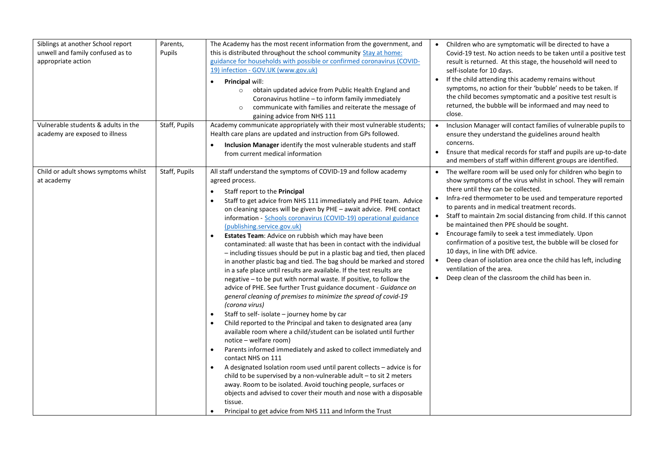| Siblings at another School report<br>unwell and family confused as to<br>appropriate action | Parents,<br>Pupils | The Academy has the most recent information from the government, and<br>this is distributed throughout the school community Stay at home:<br>guidance for households with possible or confirmed coronavirus (COVID-<br>19) infection - GOV.UK (www.gov.uk)<br>Principal will:<br>٠<br>obtain updated advice from Public Health England and<br>$\circ$<br>Coronavirus hotline – to inform family immediately<br>communicate with families and reiterate the message of<br>$\circ$<br>gaining advice from NHS 111                                                                                                                                                                                                                                                                                                                                                                                                                                                                                                                                                                                                                                                                                                                                                                                                                                                                                                                                                                                                                                                                                                                                                                                                              | Children who are symptomatic will be directed to have a<br>Covid-19 test. No action needs to be taken until a positive test<br>result is returned. At this stage, the household will need to<br>self-isolate for 10 days.<br>If the child attending this academy remains without<br>symptoms, no action for their 'bubble' needs to be taken. If<br>the child becomes symptomatic and a positive test result is<br>returned, the bubble will be informaed and may need to<br>close.                                                                                                                                                                                                                                                                         |
|---------------------------------------------------------------------------------------------|--------------------|------------------------------------------------------------------------------------------------------------------------------------------------------------------------------------------------------------------------------------------------------------------------------------------------------------------------------------------------------------------------------------------------------------------------------------------------------------------------------------------------------------------------------------------------------------------------------------------------------------------------------------------------------------------------------------------------------------------------------------------------------------------------------------------------------------------------------------------------------------------------------------------------------------------------------------------------------------------------------------------------------------------------------------------------------------------------------------------------------------------------------------------------------------------------------------------------------------------------------------------------------------------------------------------------------------------------------------------------------------------------------------------------------------------------------------------------------------------------------------------------------------------------------------------------------------------------------------------------------------------------------------------------------------------------------------------------------------------------------|-------------------------------------------------------------------------------------------------------------------------------------------------------------------------------------------------------------------------------------------------------------------------------------------------------------------------------------------------------------------------------------------------------------------------------------------------------------------------------------------------------------------------------------------------------------------------------------------------------------------------------------------------------------------------------------------------------------------------------------------------------------|
| Vulnerable students & adults in the<br>academy are exposed to illness                       | Staff, Pupils      | Academy communicate appropriately with their most vulnerable students;<br>Health care plans are updated and instruction from GPs followed.<br>Inclusion Manager identify the most vulnerable students and staff<br>from current medical information                                                                                                                                                                                                                                                                                                                                                                                                                                                                                                                                                                                                                                                                                                                                                                                                                                                                                                                                                                                                                                                                                                                                                                                                                                                                                                                                                                                                                                                                          | Inclusion Manager will contact families of vulnerable pupils to<br>$\bullet$<br>ensure they understand the guidelines around health<br>concerns.<br>Ensure that medical records for staff and pupils are up-to-date<br>$\bullet$<br>and members of staff within different groups are identified.                                                                                                                                                                                                                                                                                                                                                                                                                                                            |
| Child or adult shows symptoms whilst<br>at academy                                          | Staff, Pupils      | All staff understand the symptoms of COVID-19 and follow academy<br>agreed process.<br>Staff report to the Principal<br>$\bullet$<br>Staff to get advice from NHS 111 immediately and PHE team. Advice<br>$\bullet$<br>on cleaning spaces will be given by PHE - await advice. PHE contact<br>information - Schools coronavirus (COVID-19) operational guidance<br>(publishing.service.gov.uk)<br>Estates Team: Advice on rubbish which may have been<br>$\bullet$<br>contaminated: all waste that has been in contact with the individual<br>- including tissues should be put in a plastic bag and tied, then placed<br>in another plastic bag and tied. The bag should be marked and stored<br>in a safe place until results are available. If the test results are<br>negative - to be put with normal waste. If positive, to follow the<br>advice of PHE. See further Trust guidance document - Guidance on<br>general cleaning of premises to minimize the spread of covid-19<br>(corona virus)<br>Staff to self- isolate - journey home by car<br>$\bullet$<br>Child reported to the Principal and taken to designated area (any<br>$\bullet$<br>available room where a child/student can be isolated until further<br>notice - welfare room)<br>Parents informed immediately and asked to collect immediately and<br>$\bullet$<br>contact NHS on 111<br>A designated Isolation room used until parent collects - advice is for<br>child to be supervised by a non-vulnerable adult - to sit 2 meters<br>away. Room to be isolated. Avoid touching people, surfaces or<br>objects and advised to cover their mouth and nose with a disposable<br>tissue.<br>Principal to get advice from NHS 111 and Inform the Trust | The welfare room will be used only for children who begin to<br>$\bullet$<br>show symptoms of the virus whilst in school. They will remain<br>there until they can be collected.<br>Infra-red thermometer to be used and temperature reported<br>$\bullet$<br>to parents and in medical treatment records.<br>• Staff to maintain 2m social distancing from child. If this cannot<br>be maintained then PPE should be sought.<br>Encourage family to seek a test immediately. Upon<br>$\bullet$<br>confirmation of a positive test, the bubble will be closed for<br>10 days, in line with DfE advice.<br>Deep clean of isolation area once the child has left, including<br>ventilation of the area.<br>Deep clean of the classroom the child has been in. |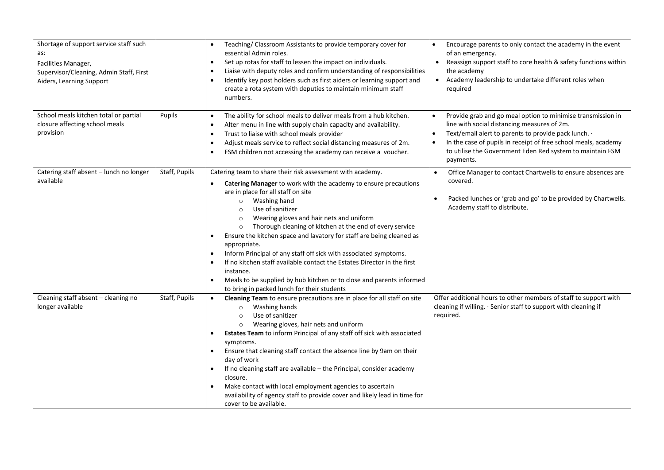| Shortage of support service staff such<br>as:<br>Facilities Manager,<br>Supervisor/Cleaning, Admin Staff, First<br>Aiders, Learning Support |               | Teaching/ Classroom Assistants to provide temporary cover for<br>essential Admin roles.<br>Set up rotas for staff to lessen the impact on individuals.<br>$\bullet$<br>Liaise with deputy roles and confirm understanding of responsibilities<br>Identify key post holders such as first aiders or learning support and<br>$\bullet$<br>create a rota system with deputies to maintain minimum staff<br>numbers.                                                                                                                                                                                                                                                                                                                                    | Encourage parents to only contact the academy in the event<br>$\bullet$<br>of an emergency.<br>Reassign support staff to core health & safety functions within<br>$\bullet$<br>the academy<br>Academy leadership to undertake different roles when<br>$\bullet$<br>required                                                                   |
|---------------------------------------------------------------------------------------------------------------------------------------------|---------------|-----------------------------------------------------------------------------------------------------------------------------------------------------------------------------------------------------------------------------------------------------------------------------------------------------------------------------------------------------------------------------------------------------------------------------------------------------------------------------------------------------------------------------------------------------------------------------------------------------------------------------------------------------------------------------------------------------------------------------------------------------|-----------------------------------------------------------------------------------------------------------------------------------------------------------------------------------------------------------------------------------------------------------------------------------------------------------------------------------------------|
| School meals kitchen total or partial<br>closure affecting school meals<br>provision                                                        | Pupils        | The ability for school meals to deliver meals from a hub kitchen.<br>$\bullet$<br>Alter menu in line with supply chain capacity and availability.<br>$\bullet$<br>Trust to liaise with school meals provider<br>$\bullet$<br>Adjust meals service to reflect social distancing measures of 2m.<br>$\bullet$<br>FSM children not accessing the academy can receive a voucher.                                                                                                                                                                                                                                                                                                                                                                        | Provide grab and go meal option to minimise transmission in<br>$\bullet$<br>line with social distancing measures of 2m.<br>Text/email alert to parents to provide pack lunch. .<br>$\bullet$<br>In the case of pupils in receipt of free school meals, academy<br>٠<br>to utilise the Government Eden Red system to maintain FSM<br>payments. |
| Catering staff absent - lunch no longer<br>available                                                                                        | Staff, Pupils | Catering team to share their risk assessment with academy.<br>Catering Manager to work with the academy to ensure precautions<br>are in place for all staff on site<br>Washing hand<br>$\circ$<br>Use of sanitizer<br>$\circ$<br>Wearing gloves and hair nets and uniform<br>$\circ$<br>Thorough cleaning of kitchen at the end of every service<br>$\circ$<br>Ensure the kitchen space and lavatory for staff are being cleaned as<br>appropriate.<br>Inform Principal of any staff off sick with associated symptoms.<br>If no kitchen staff available contact the Estates Director in the first<br>$\bullet$<br>instance.<br>Meals to be supplied by hub kitchen or to close and parents informed<br>to bring in packed lunch for their students | Office Manager to contact Chartwells to ensure absences are<br>$\bullet$<br>covered.<br>Packed lunches or 'grab and go' to be provided by Chartwells.<br>Academy staff to distribute.                                                                                                                                                         |
| Cleaning staff absent - cleaning no<br>longer available                                                                                     | Staff, Pupils | Cleaning Team to ensure precautions are in place for all staff on site<br>$\bullet$<br>Washing hands<br>$\circ$<br>Use of sanitizer<br>$\circ$<br>Wearing gloves, hair nets and uniform<br>Estates Team to inform Principal of any staff off sick with associated<br>symptoms.<br>Ensure that cleaning staff contact the absence line by 9am on their<br>day of work<br>If no cleaning staff are available - the Principal, consider academy<br>closure.<br>Make contact with local employment agencies to ascertain<br>availability of agency staff to provide cover and likely lead in time for<br>cover to be available.                                                                                                                         | Offer additional hours to other members of staff to support with<br>cleaning if willing. · Senior staff to support with cleaning if<br>required.                                                                                                                                                                                              |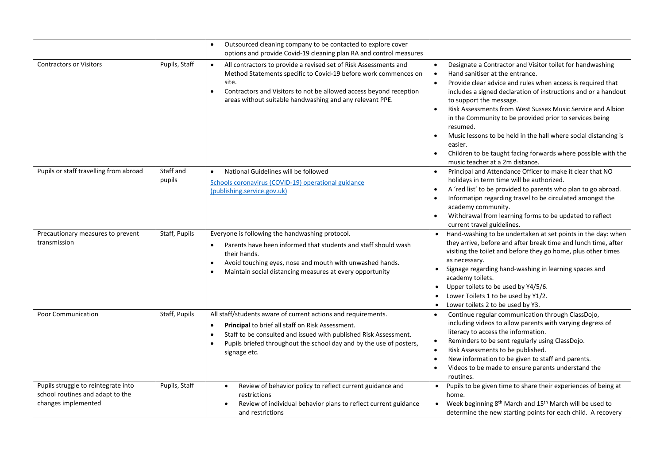|                                                                                                |                     | Outsourced cleaning company to be contacted to explore cover<br>options and provide Covid-19 cleaning plan RA and control measures                                                                                                                                                                                         |                                                                                                                                                                                                                                                                                                                                                                                                                                                                                                                                                                                                                                                               |
|------------------------------------------------------------------------------------------------|---------------------|----------------------------------------------------------------------------------------------------------------------------------------------------------------------------------------------------------------------------------------------------------------------------------------------------------------------------|---------------------------------------------------------------------------------------------------------------------------------------------------------------------------------------------------------------------------------------------------------------------------------------------------------------------------------------------------------------------------------------------------------------------------------------------------------------------------------------------------------------------------------------------------------------------------------------------------------------------------------------------------------------|
| <b>Contractors or Visitors</b>                                                                 | Pupils, Staff       | All contractors to provide a revised set of Risk Assessments and<br>$\bullet$<br>Method Statements specific to Covid-19 before work commences on<br>site.<br>Contractors and Visitors to not be allowed access beyond reception<br>areas without suitable handwashing and any relevant PPE.                                | Designate a Contractor and Visitor toilet for handwashing<br>$\bullet$<br>Hand sanitiser at the entrance.<br>$\bullet$<br>Provide clear advice and rules when access is required that<br>$\bullet$<br>includes a signed declaration of instructions and or a handout<br>to support the message.<br>Risk Assessments from West Sussex Music Service and Albion<br>$\bullet$<br>in the Community to be provided prior to services being<br>resumed.<br>Music lessons to be held in the hall where social distancing is<br>$\bullet$<br>easier.<br>Children to be taught facing forwards where possible with the<br>$\bullet$<br>music teacher at a 2m distance. |
| Pupils or staff travelling from abroad                                                         | Staff and<br>pupils | National Guidelines will be followed<br>$\bullet$<br>Schools coronavirus (COVID-19) operational guidance<br>(publishing.service.gov.uk)                                                                                                                                                                                    | Principal and Attendance Officer to make it clear that NO<br>holidays in term time will be authorized.<br>A 'red list' to be provided to parents who plan to go abroad.<br>$\bullet$<br>Informatipn regarding travel to be circulated amongst the<br>academy community.<br>Withdrawal from learning forms to be updated to reflect<br>current travel guidelines.                                                                                                                                                                                                                                                                                              |
| Precautionary measures to prevent<br>transmission                                              | Staff, Pupils       | Everyone is following the handwashing protocol.<br>Parents have been informed that students and staff should wash<br>their hands.<br>Avoid touching eyes, nose and mouth with unwashed hands.<br>$\bullet$<br>Maintain social distancing measures at every opportunity                                                     | Hand-washing to be undertaken at set points in the day: when<br>$\bullet$<br>they arrive, before and after break time and lunch time, after<br>visiting the toilet and before they go home, plus other times<br>as necessary.<br>Signage regarding hand-washing in learning spaces and<br>academy toilets.<br>Upper toilets to be used by Y4/5/6.<br>$\bullet$<br>Lower Toilets 1 to be used by Y1/2.<br>$\bullet$<br>Lower toilets 2 to be used by Y3.<br>$\bullet$                                                                                                                                                                                          |
| Poor Communication                                                                             | Staff, Pupils       | All staff/students aware of current actions and requirements.<br><b>Principal to brief all staff on Risk Assessment.</b><br>$\bullet$<br>Staff to be consulted and issued with published Risk Assessment.<br>$\bullet$<br>Pupils briefed throughout the school day and by the use of posters,<br>$\bullet$<br>signage etc. | Continue regular communication through ClassDojo,<br>$\bullet$<br>including videos to allow parents with varying degress of<br>literacy to access the information.<br>Reminders to be sent regularly using ClassDojo.<br>$\bullet$<br>Risk Assessments to be published.<br>$\bullet$<br>New information to be given to staff and parents.<br>$\bullet$<br>Videos to be made to ensure parents understand the<br>$\bullet$<br>routines.                                                                                                                                                                                                                        |
| Pupils struggle to reintegrate into<br>school routines and adapt to the<br>changes implemented | Pupils, Staff       | Review of behavior policy to reflect current guidance and<br>restrictions<br>Review of individual behavior plans to reflect current guidance<br>and restrictions                                                                                                                                                           | Pupils to be given time to share their experiences of being at<br>$\bullet$<br>home.<br>Week beginning 8 <sup>th</sup> March and 15 <sup>th</sup> March will be used to<br>$\bullet$<br>determine the new starting points for each child. A recovery                                                                                                                                                                                                                                                                                                                                                                                                          |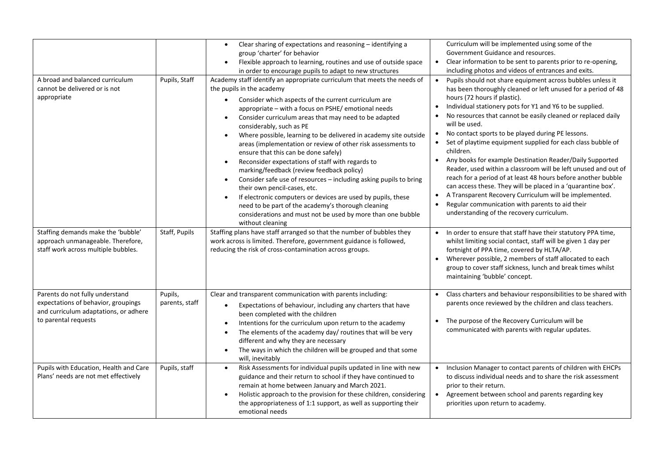| A broad and balanced curriculum<br>cannot be delivered or is not<br>appropriate                                                         | Pupils, Staff             | Clear sharing of expectations and reasoning - identifying a<br>$\bullet$<br>group 'charter' for behavior<br>Flexible approach to learning, routines and use of outside space<br>$\bullet$<br>in order to encourage pupils to adapt to new structures<br>Academy staff identify an appropriate curriculum that meets the needs of<br>the pupils in the academy<br>Consider which aspects of the current curriculum are<br>$\bullet$<br>appropriate - with a focus on PSHE/ emotional needs<br>Consider curriculum areas that may need to be adapted<br>$\bullet$<br>considerably, such as PE<br>Where possible, learning to be delivered in academy site outside<br>$\bullet$<br>areas (implementation or review of other risk assessments to<br>ensure that this can be done safely)<br>Reconsider expectations of staff with regards to<br>$\bullet$<br>marking/feedback (review feedback policy)<br>Consider safe use of resources - including asking pupils to bring<br>$\bullet$<br>their own pencil-cases, etc.<br>If electronic computers or devices are used by pupils, these<br>$\bullet$<br>need to be part of the academy's thorough cleaning<br>considerations and must not be used by more than one bubble<br>without cleaning | Curriculum will be implemented using some of the<br>Government Guidance and resources.<br>Clear information to be sent to parents prior to re-opening,<br>$\bullet$<br>including photos and videos of entrances and exits.<br>Pupils should not share equipment across bubbles unless it<br>$\bullet$<br>has been thoroughly cleaned or left unused for a period of 48<br>hours (72 hours if plastic).<br>Individual stationery pots for Y1 and Y6 to be supplied.<br>$\bullet$<br>No resources that cannot be easily cleaned or replaced daily<br>will be used.<br>No contact sports to be played during PE lessons.<br>$\bullet$<br>Set of playtime equipment supplied for each class bubble of<br>children.<br>Any books for example Destination Reader/Daily Supported<br>$\bullet$<br>Reader, used within a classroom will be left unused and out of<br>reach for a period of at least 48 hours before another bubble<br>can access these. They will be placed in a 'quarantine box'.<br>A Transparent Recovery Curriculum will be implemented.<br>$\bullet$<br>Regular communication with parents to aid their<br>$\bullet$<br>understanding of the recovery curriculum. |
|-----------------------------------------------------------------------------------------------------------------------------------------|---------------------------|--------------------------------------------------------------------------------------------------------------------------------------------------------------------------------------------------------------------------------------------------------------------------------------------------------------------------------------------------------------------------------------------------------------------------------------------------------------------------------------------------------------------------------------------------------------------------------------------------------------------------------------------------------------------------------------------------------------------------------------------------------------------------------------------------------------------------------------------------------------------------------------------------------------------------------------------------------------------------------------------------------------------------------------------------------------------------------------------------------------------------------------------------------------------------------------------------------------------------------------------|--------------------------------------------------------------------------------------------------------------------------------------------------------------------------------------------------------------------------------------------------------------------------------------------------------------------------------------------------------------------------------------------------------------------------------------------------------------------------------------------------------------------------------------------------------------------------------------------------------------------------------------------------------------------------------------------------------------------------------------------------------------------------------------------------------------------------------------------------------------------------------------------------------------------------------------------------------------------------------------------------------------------------------------------------------------------------------------------------------------------------------------------------------------------------------|
| Staffing demands make the 'bubble'<br>approach unmanageable. Therefore,<br>staff work across multiple bubbles.                          | Staff, Pupils             | Staffing plans have staff arranged so that the number of bubbles they<br>work across is limited. Therefore, government guidance is followed,<br>reducing the risk of cross-contamination across groups.                                                                                                                                                                                                                                                                                                                                                                                                                                                                                                                                                                                                                                                                                                                                                                                                                                                                                                                                                                                                                                    | In order to ensure that staff have their statutory PPA time,<br>whilst limiting social contact, staff will be given 1 day per<br>fortnight of PPA time, covered by HLTA/AP.<br>Wherever possible, 2 members of staff allocated to each<br>$\bullet$<br>group to cover staff sickness, lunch and break times whilst<br>maintaining 'bubble' concept.                                                                                                                                                                                                                                                                                                                                                                                                                                                                                                                                                                                                                                                                                                                                                                                                                            |
| Parents do not fully understand<br>expectations of behavior, groupings<br>and curriculum adaptations, or adhere<br>to parental requests | Pupils,<br>parents, staff | Clear and transparent communication with parents including:<br>Expectations of behaviour, including any charters that have<br>$\bullet$<br>been completed with the children<br>Intentions for the curriculum upon return to the academy<br>The elements of the academy day/ routines that will be very<br>different and why they are necessary<br>The ways in which the children will be grouped and that some<br>will, inevitably                                                                                                                                                                                                                                                                                                                                                                                                                                                                                                                                                                                                                                                                                                                                                                                                         | Class charters and behaviour responsibilities to be shared with<br>$\bullet$<br>parents once reviewed by the children and class teachers.<br>The purpose of the Recovery Curriculum will be<br>communicated with parents with regular updates.                                                                                                                                                                                                                                                                                                                                                                                                                                                                                                                                                                                                                                                                                                                                                                                                                                                                                                                                 |
| Pupils with Education, Health and Care<br>Plans' needs are not met effectively                                                          | Pupils, staff             | Risk Assessments for individual pupils updated in line with new<br>$\bullet$<br>guidance and their return to school if they have continued to<br>remain at home between January and March 2021.<br>Holistic approach to the provision for these children, considering<br>$\bullet$<br>the appropriateness of 1:1 support, as well as supporting their<br>emotional needs                                                                                                                                                                                                                                                                                                                                                                                                                                                                                                                                                                                                                                                                                                                                                                                                                                                                   | Inclusion Manager to contact parents of children with EHCPs<br>$\bullet$<br>to discuss individual needs and to share the risk assessment<br>prior to their return.<br>Agreement between school and parents regarding key<br>$\bullet$<br>priorities upon return to academy.                                                                                                                                                                                                                                                                                                                                                                                                                                                                                                                                                                                                                                                                                                                                                                                                                                                                                                    |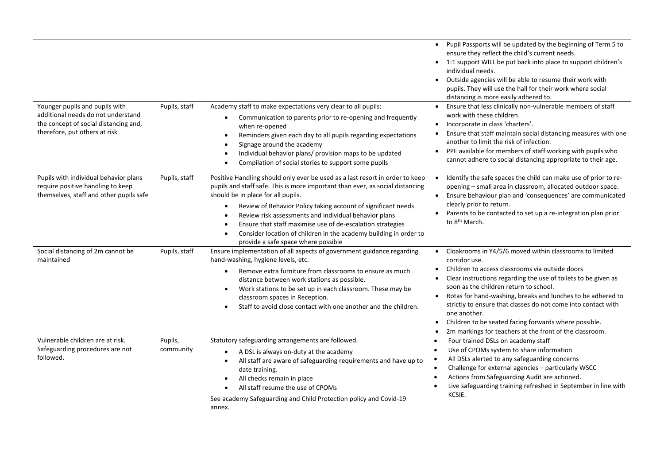| Younger pupils and pupils with<br>additional needs do not understand<br>the concept of social distancing and,<br>therefore, put others at risk | Pupils, staff        | Academy staff to make expectations very clear to all pupils:<br>Communication to parents prior to re-opening and frequently<br>when re-opened<br>Reminders given each day to all pupils regarding expectations<br>$\bullet$<br>Signage around the academy<br>Individual behavior plans/ provision maps to be updated<br>Compilation of social stories to support some pupils                                                                                                                                                      | Pupil Passports will be updated by the beginning of Term 5 to<br>ensure they reflect the child's current needs.<br>1:1 support WILL be put back into place to support children's<br>individual needs.<br>Outside agencies will be able to resume their work with<br>$\bullet$<br>pupils. They will use the hall for their work where social<br>distancing is more easily adhered to.<br>Ensure that less clinically non-vulnerable members of staff<br>$\bullet$<br>work with these children.<br>Incorporate in class 'charters'.<br>$\bullet$<br>Ensure that staff maintain social distancing measures with one<br>another to limit the risk of infection.<br>PPE available for members of staff working with pupils who<br>$\bullet$<br>cannot adhere to social distancing appropriate to their age. |
|------------------------------------------------------------------------------------------------------------------------------------------------|----------------------|-----------------------------------------------------------------------------------------------------------------------------------------------------------------------------------------------------------------------------------------------------------------------------------------------------------------------------------------------------------------------------------------------------------------------------------------------------------------------------------------------------------------------------------|--------------------------------------------------------------------------------------------------------------------------------------------------------------------------------------------------------------------------------------------------------------------------------------------------------------------------------------------------------------------------------------------------------------------------------------------------------------------------------------------------------------------------------------------------------------------------------------------------------------------------------------------------------------------------------------------------------------------------------------------------------------------------------------------------------|
| Pupils with individual behavior plans<br>require positive handling to keep<br>themselves, staff and other pupils safe                          | Pupils, staff        | Positive Handling should only ever be used as a last resort in order to keep<br>pupils and staff safe. This is more important than ever, as social distancing<br>should be in place for all pupils.<br>Review of Behavior Policy taking account of significant needs<br>$\bullet$<br>Review risk assessments and individual behavior plans<br>$\bullet$<br>Ensure that staff maximise use of de-escalation strategies<br>Consider location of children in the academy building in order to<br>provide a safe space where possible | Identify the safe spaces the child can make use of prior to re-<br>opening - small area in classroom, allocated outdoor space.<br>Ensure behaviour plan and 'consequences' are communicated<br>$\bullet$<br>clearly prior to return.<br>Parents to be contacted to set up a re-integration plan prior<br>to 8 <sup>th</sup> March.                                                                                                                                                                                                                                                                                                                                                                                                                                                                     |
| Social distancing of 2m cannot be<br>maintained                                                                                                | Pupils, staff        | Ensure implementation of all aspects of government guidance regarding<br>hand-washing, hygiene levels, etc.<br>Remove extra furniture from classrooms to ensure as much<br>$\bullet$<br>distance between work stations as possible.<br>Work stations to be set up in each classroom. These may be<br>$\bullet$<br>classroom spaces in Reception.<br>Staff to avoid close contact with one another and the children.                                                                                                               | Cloakrooms in Y4/5/6 moved within classrooms to limited<br>$\bullet$<br>corridor use.<br>Children to access classrooms via outside doors<br>$\bullet$<br>Clear instructions regarding the use of toilets to be given as<br>soon as the children return to school.<br>Rotas for hand-washing, breaks and lunches to be adhered to<br>strictly to ensure that classes do not come into contact with<br>one another.<br>Children to be seated facing forwards where possible.<br>$\bullet$<br>2m markings for teachers at the front of the classroom.                                                                                                                                                                                                                                                     |
| Vulnerable children are at risk.<br>Safeguarding procedures are not<br>followed.                                                               | Pupils,<br>community | Statutory safeguarding arrangements are followed.<br>A DSL is always on-duty at the academy<br>All staff are aware of safeguarding requirements and have up to<br>date training.<br>All checks remain in place<br>$\bullet$<br>All staff resume the use of CPOMs<br>$\bullet$<br>See academy Safeguarding and Child Protection policy and Covid-19<br>annex.                                                                                                                                                                      | Four trained DSLs on academy staff<br>$\bullet$<br>Use of CPOMs system to share information<br>$\bullet$<br>All DSLs alerted to any safeguarding concerns<br>$\bullet$<br>Challenge for external agencies - particularly WSCC<br>$\bullet$<br>Actions from Safeguarding Audit are actioned.<br>$\bullet$<br>Live safeguarding training refreshed in September in line with<br>$\bullet$<br>KCSIE.                                                                                                                                                                                                                                                                                                                                                                                                      |